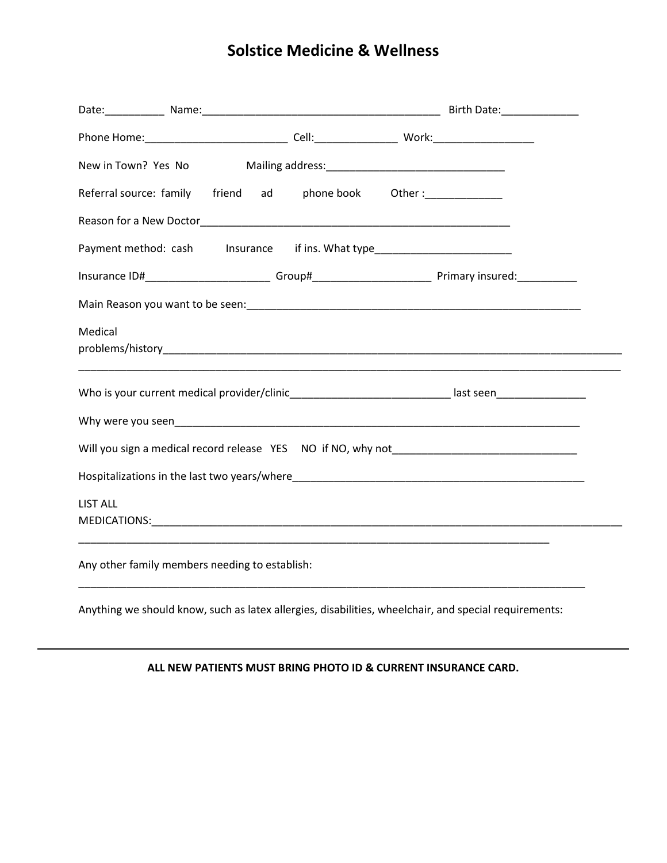# **Solstice Medicine & Wellness**

|                 |                                                | New in Town? Yes No Mailing address: [19] Mailing address: [19] Mailing address:                               |  |
|-----------------|------------------------------------------------|----------------------------------------------------------------------------------------------------------------|--|
|                 |                                                | Referral source: family friend ad phone book Other:                                                            |  |
|                 |                                                |                                                                                                                |  |
|                 |                                                | Payment method: cash lnsurance if ins. What type________________________________                               |  |
|                 |                                                | Insurance ID#___________________________Group#__________________________________ Primary insured:_____________ |  |
|                 |                                                |                                                                                                                |  |
| Medical         |                                                |                                                                                                                |  |
|                 |                                                | Who is your current medical provider/clinic______________________________last seen__________________           |  |
|                 |                                                |                                                                                                                |  |
|                 |                                                |                                                                                                                |  |
|                 |                                                |                                                                                                                |  |
| <b>LIST ALL</b> |                                                |                                                                                                                |  |
|                 | Any other family members needing to establish: |                                                                                                                |  |

Anything we should know, such as latex allergies, disabilities, wheelchair, and special requirements:

#### **ALL NEW PATIENTS MUST BRING PHOTO ID & CURRENT INSURANCE CARD.**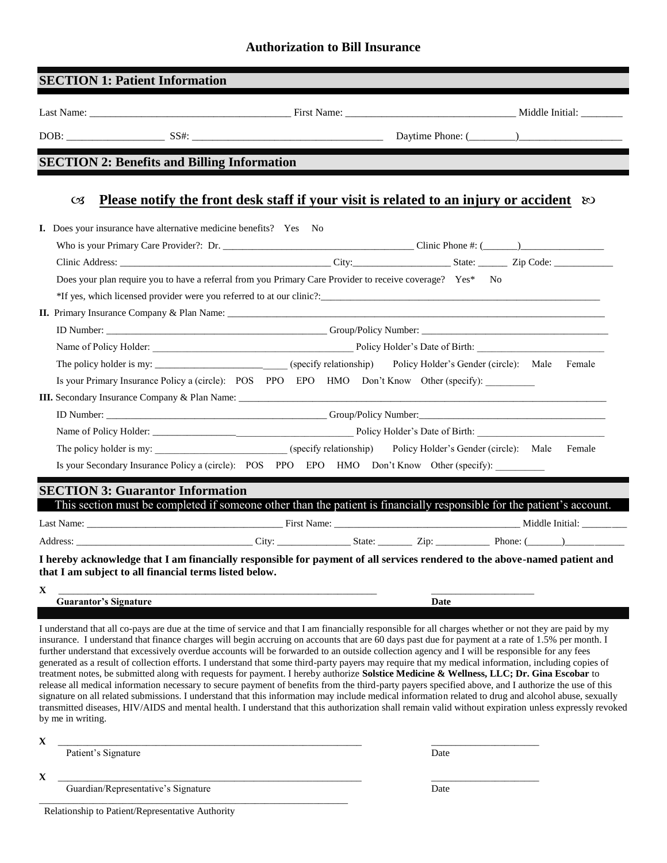### **Authorization to Bill Insurance**

|                                   | <b>SECTION 1: Patient Information</b>                             |                                                                                                                                                                                                                                                                                                    |      |                                                                                                                                                       |
|-----------------------------------|-------------------------------------------------------------------|----------------------------------------------------------------------------------------------------------------------------------------------------------------------------------------------------------------------------------------------------------------------------------------------------|------|-------------------------------------------------------------------------------------------------------------------------------------------------------|
|                                   |                                                                   |                                                                                                                                                                                                                                                                                                    |      |                                                                                                                                                       |
|                                   |                                                                   |                                                                                                                                                                                                                                                                                                    |      |                                                                                                                                                       |
|                                   | <b>SECTION 2: Benefits and Billing Information</b>                |                                                                                                                                                                                                                                                                                                    |      |                                                                                                                                                       |
|                                   |                                                                   |                                                                                                                                                                                                                                                                                                    |      |                                                                                                                                                       |
| C <sub>3</sub>                    |                                                                   | Please notify the front desk staff if your visit is related to an injury or accident $\infty$                                                                                                                                                                                                      |      |                                                                                                                                                       |
|                                   | I. Does your insurance have alternative medicine benefits? Yes No |                                                                                                                                                                                                                                                                                                    |      |                                                                                                                                                       |
|                                   |                                                                   |                                                                                                                                                                                                                                                                                                    |      |                                                                                                                                                       |
|                                   |                                                                   |                                                                                                                                                                                                                                                                                                    |      |                                                                                                                                                       |
|                                   |                                                                   | Does your plan require you to have a referral from you Primary Care Provider to receive coverage? Yes* No                                                                                                                                                                                          |      |                                                                                                                                                       |
|                                   |                                                                   |                                                                                                                                                                                                                                                                                                    |      |                                                                                                                                                       |
|                                   |                                                                   |                                                                                                                                                                                                                                                                                                    |      |                                                                                                                                                       |
|                                   |                                                                   |                                                                                                                                                                                                                                                                                                    |      |                                                                                                                                                       |
|                                   |                                                                   |                                                                                                                                                                                                                                                                                                    |      |                                                                                                                                                       |
|                                   |                                                                   |                                                                                                                                                                                                                                                                                                    |      |                                                                                                                                                       |
|                                   |                                                                   | Is your Primary Insurance Policy a (circle): POS PPO EPO HMO Don't Know Other (specify):                                                                                                                                                                                                           |      |                                                                                                                                                       |
|                                   |                                                                   |                                                                                                                                                                                                                                                                                                    |      |                                                                                                                                                       |
|                                   |                                                                   |                                                                                                                                                                                                                                                                                                    |      |                                                                                                                                                       |
|                                   |                                                                   |                                                                                                                                                                                                                                                                                                    |      |                                                                                                                                                       |
|                                   |                                                                   | The policy holder is my: ___________________________(specify relationship) Policy Holder's Gender (circle): Male Female                                                                                                                                                                            |      |                                                                                                                                                       |
|                                   |                                                                   | Is your Secondary Insurance Policy a (circle): POS PPO EPO HMO Don't Know Other (specify):                                                                                                                                                                                                         |      |                                                                                                                                                       |
|                                   |                                                                   |                                                                                                                                                                                                                                                                                                    |      |                                                                                                                                                       |
|                                   | <b>SECTION 3: Guarantor Information</b>                           |                                                                                                                                                                                                                                                                                                    |      |                                                                                                                                                       |
|                                   |                                                                   |                                                                                                                                                                                                                                                                                                    |      | This section must be completed if someone other than the patient is financially responsible for the patient's account.                                |
|                                   |                                                                   |                                                                                                                                                                                                                                                                                                    |      |                                                                                                                                                       |
|                                   |                                                                   |                                                                                                                                                                                                                                                                                                    |      |                                                                                                                                                       |
|                                   |                                                                   | I hereby acknowledge that I am financially responsible for payment of all services rendered to the above-named patient and                                                                                                                                                                         |      |                                                                                                                                                       |
|                                   | that I am subject to all financial terms listed below.            |                                                                                                                                                                                                                                                                                                    |      |                                                                                                                                                       |
| X<br><b>Guarantor's Signature</b> |                                                                   |                                                                                                                                                                                                                                                                                                    | Date |                                                                                                                                                       |
|                                   |                                                                   |                                                                                                                                                                                                                                                                                                    |      |                                                                                                                                                       |
|                                   |                                                                   | I understand that all co-pays are due at the time of service and that I am financially responsible for all charges whether or not they are paid by my                                                                                                                                              |      |                                                                                                                                                       |
|                                   |                                                                   | insurance. I understand that finance charges will begin accruing on accounts that are 60 days past due for payment at a rate of 1.5% per month. I<br>further understand that excessively overdue accounts will be forwarded to an outside collection agency and I will be responsible for any fees |      |                                                                                                                                                       |
|                                   |                                                                   | generated as a result of collection efforts. I understand that some third-party payers may require that my medical information, including copies of                                                                                                                                                |      |                                                                                                                                                       |
|                                   |                                                                   | treatment notes, be submitted along with requests for payment. I hereby authorize Solstice Medicine & Wellness, LLC; Dr. Gina Escobar to<br>release all medical information necessary to secure payment of benefits from the third-party payers specified above, and I authorize the use of this   |      |                                                                                                                                                       |
|                                   |                                                                   |                                                                                                                                                                                                                                                                                                    |      | signature on all related submissions. I understand that this information may include medical information related to drug and alcohol abuse, sexually  |
| by me in writing.                 |                                                                   |                                                                                                                                                                                                                                                                                                    |      | transmitted diseases, HIV/AIDS and mental health. I understand that this authorization shall remain valid without expiration unless expressly revoked |
|                                   |                                                                   |                                                                                                                                                                                                                                                                                                    |      |                                                                                                                                                       |
| X<br>Patient's Signature          |                                                                   |                                                                                                                                                                                                                                                                                                    | Date |                                                                                                                                                       |
|                                   |                                                                   |                                                                                                                                                                                                                                                                                                    |      |                                                                                                                                                       |
| X                                 | Guardian/Representative's Signature                               |                                                                                                                                                                                                                                                                                                    |      |                                                                                                                                                       |
|                                   |                                                                   |                                                                                                                                                                                                                                                                                                    | Date |                                                                                                                                                       |

Relationship to Patient/Representative Authority

\_\_\_\_\_\_\_\_\_\_\_\_\_\_\_\_\_\_\_\_\_\_\_\_\_\_\_\_\_\_\_\_\_\_\_\_\_\_\_\_\_\_\_\_\_\_\_\_\_\_\_\_\_\_\_\_\_\_\_\_\_\_\_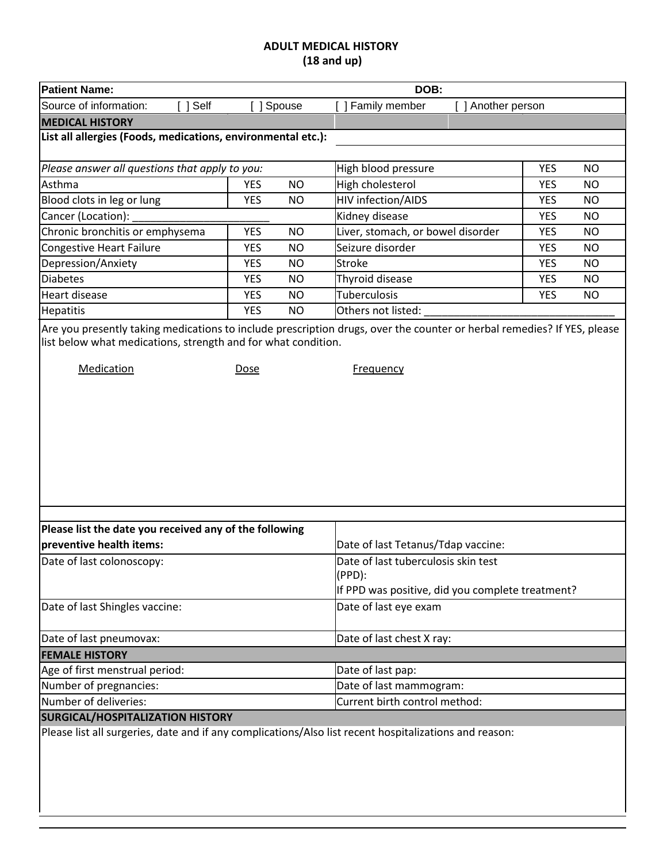#### **ADULT MEDICAL HISTORY (18 and up)**

| <b>Patient Name:</b>                                                                                   |                         | DOB:                                                                                                                                        |            |           |
|--------------------------------------------------------------------------------------------------------|-------------------------|---------------------------------------------------------------------------------------------------------------------------------------------|------------|-----------|
| Source of information:<br>[ ] Self                                                                     | Spouse                  | ] Family member<br>[ ] Another person                                                                                                       |            |           |
| <b>MEDICAL HISTORY</b>                                                                                 |                         |                                                                                                                                             |            |           |
| List all allergies (Foods, medications, environmental etc.):                                           |                         |                                                                                                                                             |            |           |
|                                                                                                        |                         |                                                                                                                                             |            |           |
| Please answer all questions that apply to you:                                                         |                         | High blood pressure                                                                                                                         | <b>YES</b> | <b>NO</b> |
| Asthma                                                                                                 | <b>YES</b><br><b>NO</b> | High cholesterol                                                                                                                            | <b>YES</b> | <b>NO</b> |
| Blood clots in leg or lung                                                                             | <b>YES</b><br><b>NO</b> | HIV infection/AIDS                                                                                                                          | <b>YES</b> | NO.       |
| Cancer (Location):                                                                                     |                         | Kidney disease                                                                                                                              | <b>YES</b> | <b>NO</b> |
| Chronic bronchitis or emphysema                                                                        | <b>YES</b><br><b>NO</b> | Liver, stomach, or bowel disorder                                                                                                           | <b>YES</b> | <b>NO</b> |
| Congestive Heart Failure                                                                               | <b>YES</b><br><b>NO</b> | Seizure disorder                                                                                                                            | <b>YES</b> | NO.       |
| Depression/Anxiety                                                                                     | <b>YES</b><br>NO        | <b>Stroke</b>                                                                                                                               | <b>YES</b> | <b>NO</b> |
| Diabetes                                                                                               | <b>YES</b><br><b>NO</b> | Thyroid disease                                                                                                                             | <b>YES</b> | <b>NO</b> |
| Heart disease                                                                                          | <b>YES</b><br><b>NO</b> | <b>Tuberculosis</b>                                                                                                                         | <b>YES</b> | <b>NO</b> |
| <b>Hepatitis</b>                                                                                       | <b>YES</b><br><b>NO</b> | Others not listed:                                                                                                                          |            |           |
| list below what medications, strength and for what condition.<br>Medication                            | <b>Dose</b>             | Are you presently taking medications to include prescription drugs, over the counter or herbal remedies? If YES, please<br><b>Frequency</b> |            |           |
|                                                                                                        |                         |                                                                                                                                             |            |           |
| Please list the date you received any of the following                                                 |                         |                                                                                                                                             |            |           |
| preventive health items:                                                                               |                         | Date of last Tetanus/Tdap vaccine:                                                                                                          |            |           |
| Date of last colonoscopy:                                                                              |                         | Date of last tuberculosis skin test<br>(PPD):<br>If PPD was positive, did you complete treatment?                                           |            |           |
| Date of last Shingles vaccine:                                                                         |                         | Date of last eye exam                                                                                                                       |            |           |
| Date of last pneumovax:                                                                                |                         | Date of last chest X ray:                                                                                                                   |            |           |
| <b>FEMALE HISTORY</b>                                                                                  |                         |                                                                                                                                             |            |           |
| Age of first menstrual period:                                                                         |                         | Date of last pap:                                                                                                                           |            |           |
| Number of pregnancies:                                                                                 |                         | Date of last mammogram:                                                                                                                     |            |           |
| Number of deliveries:                                                                                  |                         | Current birth control method:                                                                                                               |            |           |
| <b>SURGICAL/HOSPITALIZATION HISTORY</b>                                                                |                         |                                                                                                                                             |            |           |
| Please list all surgeries, date and if any complications/Also list recent hospitalizations and reason: |                         |                                                                                                                                             |            |           |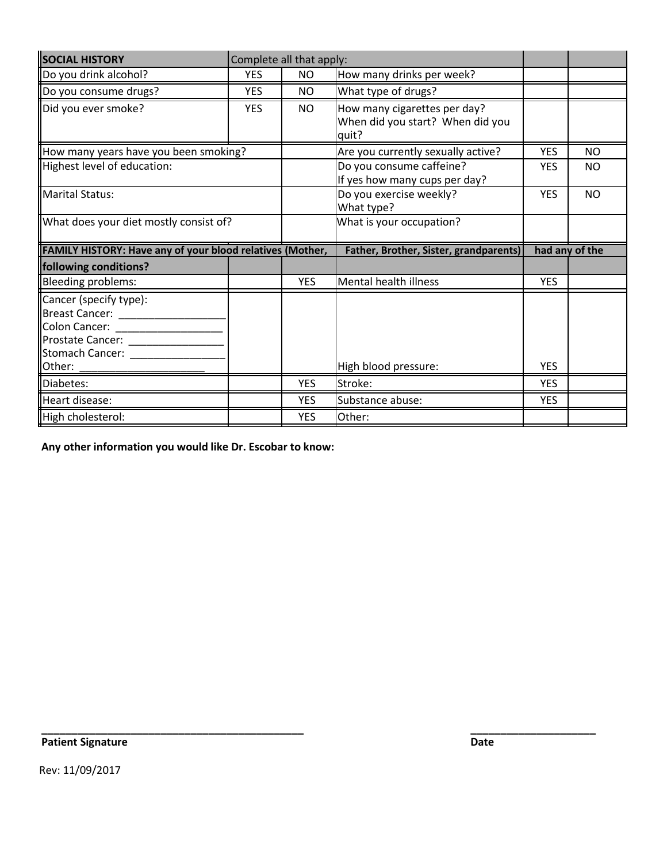| <b>SOCIAL HISTORY</b>                                                                                                     |            | Complete all that apply: |                                                                           |                          |                |
|---------------------------------------------------------------------------------------------------------------------------|------------|--------------------------|---------------------------------------------------------------------------|--------------------------|----------------|
| Do you drink alcohol?                                                                                                     | <b>YES</b> | NO.                      | How many drinks per week?                                                 |                          |                |
| Do you consume drugs?                                                                                                     | <b>YES</b> | NO.                      | What type of drugs?                                                       |                          |                |
| Did you ever smoke?                                                                                                       | <b>YES</b> | <b>NO</b>                | How many cigarettes per day?<br>When did you start? When did you<br>quit? |                          |                |
| How many years have you been smoking?                                                                                     |            |                          | Are you currently sexually active?                                        | <b>YES</b>               | <b>NO</b>      |
| Highest level of education:                                                                                               |            |                          | Do you consume caffeine?<br>If yes how many cups per day?                 | <b>YES</b>               | NO             |
| Marital Status:                                                                                                           |            |                          | Do you exercise weekly?<br>What type?                                     | <b>YES</b>               | <b>NO</b>      |
| What does your diet mostly consist of?                                                                                    |            |                          | What is your occupation?                                                  |                          |                |
|                                                                                                                           |            |                          |                                                                           |                          |                |
| FAMILY HISTORY: Have any of your blood relatives (Mother,                                                                 |            |                          | <b>Father, Brother, Sister, grandparents)</b>                             |                          | had any of the |
|                                                                                                                           |            |                          |                                                                           |                          |                |
| Bleeding problems:                                                                                                        |            | <b>YES</b>               | Mental health illness                                                     | <b>YES</b>               |                |
| following conditions?<br>Cancer (specify type):<br>Breast Cancer:<br>Colon Cancer:<br>Prostate Cancer:<br>Stomach Cancer: |            |                          |                                                                           | <b>YES</b>               |                |
| Other:                                                                                                                    |            |                          | High blood pressure:                                                      |                          |                |
| Diabetes:<br>Heart disease:                                                                                               |            | <b>YES</b><br><b>YES</b> | Stroke:<br>Substance abuse:                                               | <b>YES</b><br><b>YES</b> |                |

**\_\_\_\_\_\_\_\_\_\_\_\_\_\_\_\_\_\_\_\_\_\_\_\_\_\_\_\_\_\_\_\_\_\_\_\_\_\_\_\_\_\_\_\_ \_\_\_\_\_\_\_\_\_\_\_\_\_\_\_\_\_\_\_\_\_**

**Any other information you would like Dr. Escobar to know:**

**Patient Signature Date** 

Rev: 11/09/2017